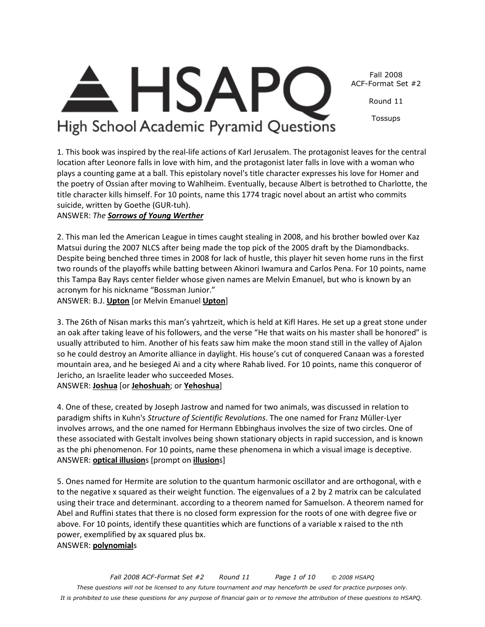

Fall 2008 ACF-Format Set #2

Round 11

Tossups

# High School Academic Pyramid Questions

1. This book was inspired by the real-life actions of Karl Jerusalem. The protagonist leaves for the central location after Leonore falls in love with him, and the protagonist later falls in love with a woman who plays a counting game at a ball. This epistolary novel's title character expresses his love for Homer and the poetry of Ossian after moving to Wahlheim. Eventually, because Albert is betrothed to Charlotte, the title character kills himself. For 10 points, name this 1774 tragic novel about an artist who commits suicide, written by Goethe (GUR-tuh).

ANSWER: *The Sorrows of Young Werther*

2. This man led the American League in times caught stealing in 2008, and his brother bowled over Kaz Matsui during the 2007 NLCS after being made the top pick of the 2005 draft by the Diamondbacks. Despite being benched three times in 2008 for lack of hustle, this player hit seven home runs in the first two rounds of the playoffs while batting between Akinori Iwamura and Carlos Pena. For 10 points, name this Tampa Bay Rays center fielder whose given names are Melvin Emanuel, but who is known by an acronym for his nickname "Bossman Junior."

ANSWER: B.J. **Upton** [or Melvin Emanuel **Upton**]

3. The 26th of Nisan marks this man's yahrtzeit, which is held at Kifl Hares. He set up a great stone under an oak after taking leave of his followers, and the verse "He that waits on his master shall be honored" is usually attributed to him. Another of his feats saw him make the moon stand still in the valley of Ajalon so he could destroy an Amorite alliance in daylight. His house's cut of conquered Canaan was a forested mountain area, and he besieged Ai and a city where Rahab lived. For 10 points, name this conqueror of Jericho, an Israelite leader who succeeded Moses.

ANSWER: **Joshua** [or **Jehoshuah**; or **Yehoshua**]

4. One of these, created by Joseph Jastrow and named for two animals, was discussed in relation to paradigm shifts in Kuhn's *Structure of Scientific Revolutions*. The one named for Franz Müller-Lyer involves arrows, and the one named for Hermann Ebbinghaus involves the size of two circles. One of these associated with Gestalt involves being shown stationary objects in rapid succession, and is known as the phi phenomenon. For 10 points, name these phenomena in which a visual image is deceptive. ANSWER: **optical illusion**s [prompt on **illusion**s]

5. Ones named for Hermite are solution to the quantum harmonic oscillator and are orthogonal, with e to the negative x squared as their weight function. The eigenvalues of a 2 by 2 matrix can be calculated using their trace and determinant. according to a theorem named for Samuelson. A theorem named for Abel and Ruffini states that there is no closed form expression for the roots of one with degree five or above. For 10 points, identify these quantities which are functions of a variable x raised to the nth power, exemplified by ax squared plus bx. ANSWER: **polynomial**s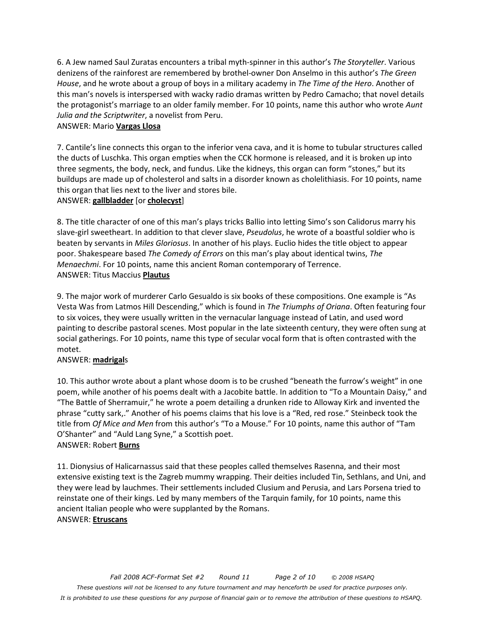6. A Jew named Saul Zuratas encounters a tribal myth-spinner in this author's *The Storyteller*. Various denizens of the rainforest are remembered by brothel-owner Don Anselmo in this author's *The Green House*, and he wrote about a group of boys in a military academy in *The Time of the Hero*. Another of this man's novels is interspersed with wacky radio dramas written by Pedro Camacho; that novel details the protagonist's marriage to an older family member. For 10 points, name this author who wrote *Aunt Julia and the Scriptwriter*, a novelist from Peru.

#### ANSWER: Mario **Vargas Llosa**

7. Cantile's line connects this organ to the inferior vena cava, and it is home to tubular structures called the ducts of Luschka. This organ empties when the CCK hormone is released, and it is broken up into three segments, the body, neck, and fundus. Like the kidneys, this organ can form "stones," but its buildups are made up of cholesterol and salts in a disorder known as cholelithiasis. For 10 points, name this organ that lies next to the liver and stores bile.

#### ANSWER: **gallbladder** [or **cholecyst**]

8. The title character of one of this man's plays tricks Ballio into letting Simo's son Calidorus marry his slave-girl sweetheart. In addition to that clever slave, *Pseudolus*, he wrote of a boastful soldier who is beaten by servants in *Miles Gloriosus*. In another of his plays. Euclio hides the title object to appear poor. Shakespeare based *The Comedy of Errors* on this man's play about identical twins, *The Menaechmi*. For 10 points, name this ancient Roman contemporary of Terrence. ANSWER: Titus Maccius **Plautus**

9. The major work of murderer Carlo Gesualdo is six books of these compositions. One example is "As Vesta Was from Latmos Hill Descending," which is found in *The Triumphs of Oriana*. Often featuring four to six voices, they were usually written in the vernacular language instead of Latin, and used word painting to describe pastoral scenes. Most popular in the late sixteenth century, they were often sung at social gatherings. For 10 points, name this type of secular vocal form that is often contrasted with the motet.

#### ANSWER: **madrigal**s

10. This author wrote about a plant whose doom is to be crushed "beneath the furrow's weight" in one poem, while another of his poems dealt with a Jacobite battle. In addition to "To a Mountain Daisy," and "The Battle of Sherramuir," he wrote a poem detailing a drunken ride to Alloway Kirk and invented the phrase "cutty sark,." Another of his poems claims that his love is a "Red, red rose." Steinbeck took the title from *Of Mice and Men* from this author's "To a Mouse." For 10 points, name this author of "Tam O'Shanter" and "Auld Lang Syne," a Scottish poet. ANSWER: Robert **Burns**

11. Dionysius of Halicarnassus said that these peoples called themselves Rasenna, and their most extensive existing text is the Zagreb mummy wrapping. Their deities included Tin, Sethlans, and Uni, and they were lead by lauchmes. Their settlements included Clusium and Perusia, and Lars Porsena tried to reinstate one of their kings. Led by many members of the Tarquin family, for 10 points, name this ancient Italian people who were supplanted by the Romans. ANSWER: **Etruscans**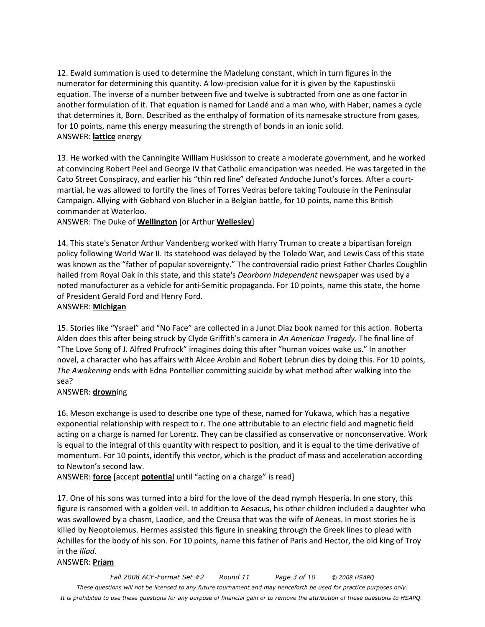12. Ewald summation is used to determine the Madelung constant, which in turn figures in the numerator for determining this quantity. A low-precision value for it is given by the Kapustinskii equation. The inverse of a number between five and twelve is subtracted from one as one factor in another formulation of it. That equation is named for Landé and a man who, with Haber, names a cycle that determines it, Born. Described as the enthalpy of formation of its namesake structure from gases, for 10 points, name this energy measuring the strength of bonds in an ionic solid. ANSWER: **lattice** energy

13. He worked with the Canningite William Huskisson to create a moderate government, and he worked at convincing Robert Peel and George IV that Catholic emancipation was needed. He was targeted in the Cato Street Conspiracy, and earlier his "thin red line" defeated Andoche Junot's forces. After a courtmartial, he was allowed to fortify the lines of Torres Vedras before taking Toulouse in the Peninsular Campaign. Allying with Gebhard von Blucher in a Belgian battle, for 10 points, name this British commander at Waterloo.

ANSWER: The Duke of **Wellington** [or Arthur **Wellesley**]

14. This state's Senator Arthur Vandenberg worked with Harry Truman to create a bipartisan foreign policy following World War II. Its statehood was delayed by the Toledo War, and Lewis Cass of this state was known as the "father of popular sovereignty." The controversial radio priest Father Charles Coughlin hailed from Royal Oak in this state, and this state's *Dearborn Independent* newspaper was used by a noted manufacturer as a vehicle for anti-Semitic propaganda. For 10 points, name this state, the home of President Gerald Ford and Henry Ford.

#### ANSWER: **Michigan**

15. Stories like "Ysrael" and "No Face" are collected in a Junot Diaz book named for this action. Roberta Alden does this after being struck by Clyde Griffith's camera in *An American Tragedy*. The final line of "The Love Song of J. Alfred Prufrock" imagines doing this after "human voices wake us." In another novel, a character who has affairs with Alcee Arobin and Robert Lebrun dies by doing this. For 10 points, *The Awakening* ends with Edna Pontellier committing suicide by what method after walking into the sea?

#### ANSWER: **drown**ing

16. Meson exchange is used to describe one type of these, named for Yukawa, which has a negative exponential relationship with respect to r. The one attributable to an electric field and magnetic field acting on a charge is named for Lorentz. They can be classified as conservative or nonconservative. Work is equal to the integral of this quantity with respect to position, and it is equal to the time derivative of momentum. For 10 points, identify this vector, which is the product of mass and acceleration according to Newton's second law.

ANSWER: **force** [accept **potential** until "acting on a charge" is read]

17. One of his sons was turned into a bird for the love of the dead nymph Hesperia. In one story, this figure is ransomed with a golden veil. In addition to Aesacus, his other children included a daughter who was swallowed by a chasm, Laodice, and the Creusa that was the wife of Aeneas. In most stories he is killed by Neoptolemus. Hermes assisted this figure in sneaking through the Greek lines to plead with Achilles for the body of his son. For 10 points, name this father of Paris and Hector, the old king of Troy in the *Iliad*.

#### ANSWER: **Priam**

*Fall 2008 ACF-Format Set #2 Round 11 Page 3 of 10 © 2008 HSAPQ These questions will not be licensed to any future tournament and may henceforth be used for practice purposes only. It is prohibited to use these questions for any purpose of financial gain or to remove the attribution of these questions to HSAPQ.*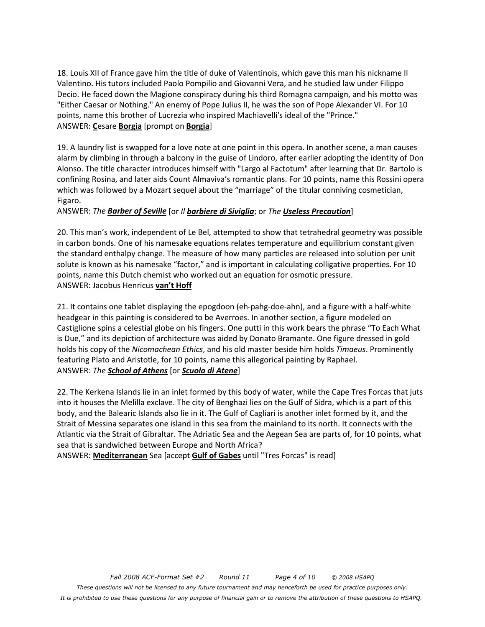18. Louis XII of France gave him the title of duke of Valentinois, which gave this man his nickname Il Valentino. His tutors included Paolo Pompilio and Giovanni Vera, and he studied law under Filippo Decio. He faced down the Magione conspiracy during his third Romagna campaign, and his motto was "Either Caesar or Nothing." An enemy of Pope Julius II, he was the son of Pope Alexander VI. For 10 points, name this brother of Lucrezia who inspired Machiavelli's ideal of the "Prince." ANSWER: **C**esare **Borgia** [prompt on **Borgia**]

19. A laundry list is swapped for a love note at one point in this opera. In another scene, a man causes alarm by climbing in through a balcony in the guise of Lindoro, after earlier adopting the identity of Don Alonso. The title character introduces himself with "Largo al Factotum" after learning that Dr. Bartolo is confining Rosina, and later aids Count Almaviva's romantic plans. For 10 points, name this Rossini opera which was followed by a Mozart sequel about the "marriage" of the titular conniving cosmetician, Figaro.

#### ANSWER: *The Barber of Seville* [or *Il barbiere di Siviglia*; or *The Useless Precaution*]

20. This man's work, independent of Le Bel, attempted to show that tetrahedral geometry was possible in carbon bonds. One of his namesake equations relates temperature and equilibrium constant given the standard enthalpy change. The measure of how many particles are released into solution per unit solute is known as his namesake "factor," and is important in calculating colligative properties. For 10 points, name this Dutch chemist who worked out an equation for osmotic pressure. ANSWER: Jacobus Henricus **van't Hoff**

21. It contains one tablet displaying the epogdoon (eh-pahg-doe-ahn), and a figure with a half-white headgear in this painting is considered to be Averroes. In another section, a figure modeled on Castiglione spins a celestial globe on his fingers. One putti in this work bears the phrase "To Each What is Due," and its depiction of architecture was aided by Donato Bramante. One figure dressed in gold holds his copy of the *Nicomachean Ethics*, and his old master beside him holds *Timaeus*. Prominently featuring Plato and Aristotle, for 10 points, name this allegorical painting by Raphael. ANSWER: *The School of Athens* [or *Scuola di Atene*]

22. The Kerkena Islands lie in an inlet formed by this body of water, while the Cape Tres Forcas that juts into it houses the Melilla exclave. The city of Benghazi lies on the Gulf of Sidra, which is a part of this body, and the Balearic Islands also lie in it. The Gulf of Cagliari is another inlet formed by it, and the Strait of Messina separates one island in this sea from the mainland to its north. It connects with the Atlantic via the Strait of Gibraltar. The Adriatic Sea and the Aegean Sea are parts of, for 10 points, what sea that is sandwiched between Europe and North Africa?

ANSWER: **Mediterranean** Sea [accept **Gulf of Gabes** until "Tres Forcas" is read]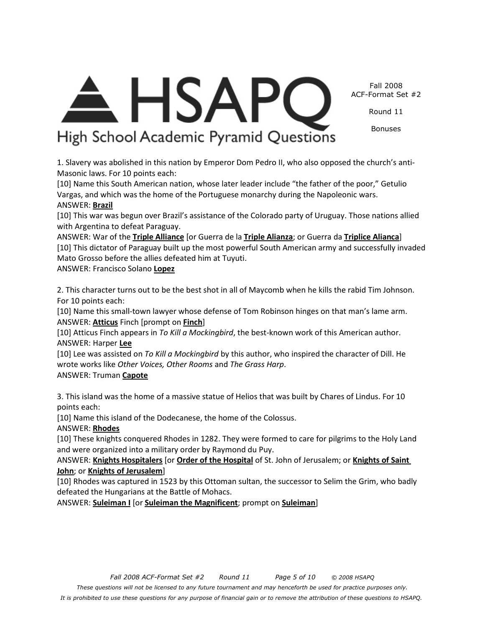*Fall 2008 ACF-Format Set #2 Round 11 Page 5 of 10 © 2008 HSAPQ These questions will not be licensed to any future tournament and may henceforth be used for practice purposes only. It is prohibited to use these questions for any purpose of financial gain or to remove the attribution of these questions to HSAPQ.*

# ANSWER: **Suleiman I** [or **Suleiman the Magnificent**; prompt on **Suleiman**]

[10] Lee was assisted on *To Kill a Mockingbird* by this author, who inspired the character of Dill. He

wrote works like *Other Voices, Other Rooms* and *The Grass Harp*.

## ANSWER: Truman **Capote**

3. This island was the home of a massive statue of Helios that was built by Chares of Lindus. For 10 points each:

[10] Name this island of the Dodecanese, the home of the Colossus.

ANSWER: **Rhodes**

[10] These knights conquered Rhodes in 1282. They were formed to care for pilgrims to the Holy Land

ANSWER: **Knights Hospitalers** [or **Order of the Hospital** of St. John of Jerusalem; or **Knights of Saint** 

[10] Rhodes was captured in 1523 by this Ottoman sultan, the successor to Selim the Grim, who badly

and were organized into a military order by Raymond du Puy.

[10] Atticus Finch appears in *To Kill a Mockingbird*, the best-known work of this American author.

Mato Grosso before the allies defeated him at Tuyuti. ANSWER: Francisco Solano **Lopez**

1. Slavery was abolished in this nation by Emperor Dom Pedro II, who also opposed the church's anti-

Masonic laws. For 10 points each: [10] Name this South American nation, whose later leader include "the father of the poor," Getulio

# Vargas, and which was the home of the Portuguese monarchy during the Napoleonic wars.

**HSAPC** 

High School Academic Pyramid Questions

# ANSWER: **Brazil**

[10] This war was begun over Brazil's assistance of the Colorado party of Uruguay. Those nations allied

with Argentina to defeat Paraguay. ANSWER: War of the **Triple Alliance** [or Guerra de la **Triple Alianza**; or Guerra da **Triplice Alianca**] [10] This dictator of Paraguay built up the most powerful South American army and successfully invaded

2. This character turns out to be the best shot in all of Maycomb when he kills the rabid Tim Johnson.

For 10 points each:

[10] Name this small-town lawyer whose defense of Tom Robinson hinges on that man's lame arm.

ANSWER: **Atticus** Finch [prompt on **Finch**]

ANSWER: Harper **Lee**

**John**; or **Knights of Jerusalem**]

defeated the Hungarians at the Battle of Mohacs.

Fall 2008 ACF-Format Set #2

Round 11

Bonuses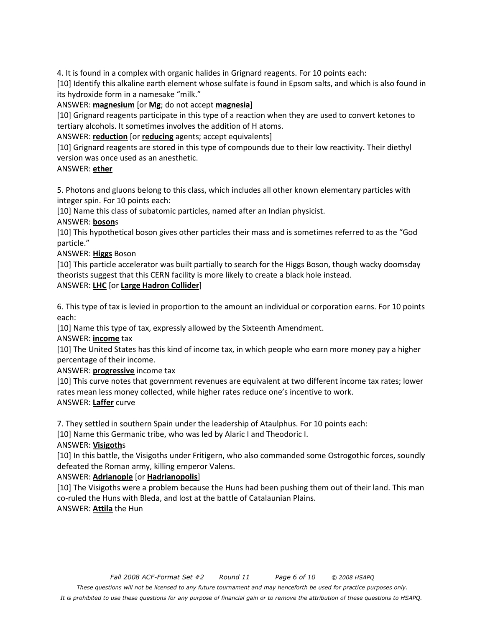4. It is found in a complex with organic halides in Grignard reagents. For 10 points each:

[10] Identify this alkaline earth element whose sulfate is found in Epsom salts, and which is also found in its hydroxide form in a namesake "milk."

ANSWER: **magnesium** [or **Mg**; do not accept **magnesia**]

[10] Grignard reagents participate in this type of a reaction when they are used to convert ketones to tertiary alcohols. It sometimes involves the addition of H atoms.

ANSWER: **reduction** [or **reducing** agents; accept equivalents]

[10] Grignard reagents are stored in this type of compounds due to their low reactivity. Their diethyl version was once used as an anesthetic.

#### ANSWER: **ether**

5. Photons and gluons belong to this class, which includes all other known elementary particles with integer spin. For 10 points each:

[10] Name this class of subatomic particles, named after an Indian physicist.

ANSWER: **boson**s

[10] This hypothetical boson gives other particles their mass and is sometimes referred to as the "God particle."

ANSWER: **Higgs** Boson

[10] This particle accelerator was built partially to search for the Higgs Boson, though wacky doomsday theorists suggest that this CERN facility is more likely to create a black hole instead.

#### ANSWER: **LHC** [or **Large Hadron Collider**]

6. This type of tax is levied in proportion to the amount an individual or corporation earns. For 10 points each:

[10] Name this type of tax, expressly allowed by the Sixteenth Amendment.

ANSWER: **income** tax

[10] The United States has this kind of income tax, in which people who earn more money pay a higher percentage of their income.

ANSWER: **progressive** income tax

[10] This curve notes that government revenues are equivalent at two different income tax rates; lower rates mean less money collected, while higher rates reduce one's incentive to work. ANSWER: **Laffer** curve

7. They settled in southern Spain under the leadership of Ataulphus. For 10 points each:

[10] Name this Germanic tribe, who was led by Alaric I and Theodoric I.

#### ANSWER: **Visigoth**s

[10] In this battle, the Visigoths under Fritigern, who also commanded some Ostrogothic forces, soundly defeated the Roman army, killing emperor Valens.

#### ANSWER: **Adrianople** [or **Hadrianopolis**]

[10] The Visigoths were a problem because the Huns had been pushing them out of their land. This man co-ruled the Huns with Bleda, and lost at the battle of Catalaunian Plains. ANSWER: **Attila** the Hun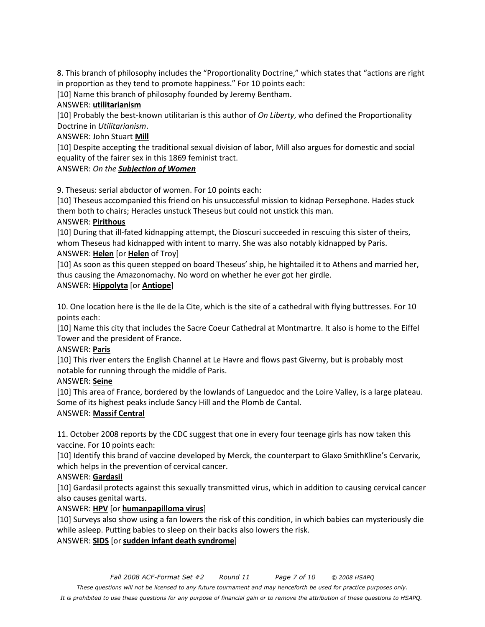8. This branch of philosophy includes the "Proportionality Doctrine," which states that "actions are right in proportion as they tend to promote happiness." For 10 points each:

[10] Name this branch of philosophy founded by Jeremy Bentham.

#### ANSWER: **utilitarianism**

[10] Probably the best-known utilitarian is this author of *On Liberty*, who defined the Proportionality Doctrine in *Utilitarianism*.

#### ANSWER: John Stuart **Mill**

[10] Despite accepting the traditional sexual division of labor, Mill also argues for domestic and social equality of the fairer sex in this 1869 feminist tract.

#### ANSWER: *On the Subjection of Women*

9. Theseus: serial abductor of women. For 10 points each:

[10] Theseus accompanied this friend on his unsuccessful mission to kidnap Persephone. Hades stuck them both to chairs; Heracles unstuck Theseus but could not unstick this man.

#### ANSWER: **Pirithous**

[10] During that ill-fated kidnapping attempt, the Dioscuri succeeded in rescuing this sister of theirs, whom Theseus had kidnapped with intent to marry. She was also notably kidnapped by Paris.

#### ANSWER: **Helen** [or **Helen** of Troy]

[10] As soon as this queen stepped on board Theseus' ship, he hightailed it to Athens and married her, thus causing the Amazonomachy. No word on whether he ever got her girdle.

#### ANSWER: **Hippolyta** [or **Antiope**]

10. One location here is the Ile de la Cite, which is the site of a cathedral with flying buttresses. For 10 points each:

[10] Name this city that includes the Sacre Coeur Cathedral at Montmartre. It also is home to the Eiffel Tower and the president of France.

### ANSWER: **Paris**

[10] This river enters the English Channel at Le Havre and flows past Giverny, but is probably most notable for running through the middle of Paris.

#### ANSWER: **Seine**

[10] This area of France, bordered by the lowlands of Languedoc and the Loire Valley, is a large plateau. Some of its highest peaks include Sancy Hill and the Plomb de Cantal.

### ANSWER: **Massif Central**

11. October 2008 reports by the CDC suggest that one in every four teenage girls has now taken this vaccine. For 10 points each:

[10] Identify this brand of vaccine developed by Merck, the counterpart to Glaxo SmithKline's Cervarix, which helps in the prevention of cervical cancer.

### ANSWER: **Gardasil**

[10] Gardasil protects against this sexually transmitted virus, which in addition to causing cervical cancer also causes genital warts.

### ANSWER: **HPV** [or **humanpapilloma virus**]

[10] Surveys also show using a fan lowers the risk of this condition, in which babies can mysteriously die while asleep. Putting babies to sleep on their backs also lowers the risk. ANSWER: **SIDS** [or **sudden infant death syndrome**]

*These questions will not be licensed to any future tournament and may henceforth be used for practice purposes only.* 

*It is prohibited to use these questions for any purpose of financial gain or to remove the attribution of these questions to HSAPQ.*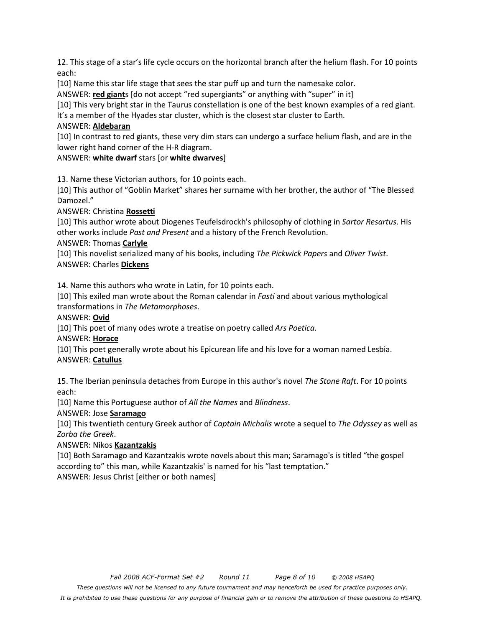12. This stage of a star's life cycle occurs on the horizontal branch after the helium flash. For 10 points each:

[10] Name this star life stage that sees the star puff up and turn the namesake color.

ANSWER: **red giant**s [do not accept "red supergiants" or anything with "super" in it]

[10] This very bright star in the Taurus constellation is one of the best known examples of a red giant. It's a member of the Hyades star cluster, which is the closest star cluster to Earth.

#### ANSWER: **Aldebaran**

[10] In contrast to red giants, these very dim stars can undergo a surface helium flash, and are in the lower right hand corner of the H-R diagram.

ANSWER: **white dwarf** stars [or **white dwarves**]

13. Name these Victorian authors, for 10 points each.

[10] This author of "Goblin Market" shares her surname with her brother, the author of "The Blessed Damozel."

ANSWER: Christina **Rossetti**

[10] This author wrote about Diogenes Teufelsdrockh's philosophy of clothing in *Sartor Resartus*. His other works include *Past and Present* and a history of the French Revolution.

ANSWER: Thomas **Carlyle**

[10] This novelist serialized many of his books, including *The Pickwick Papers* and *Oliver Twist*. ANSWER: Charles **Dickens**

14. Name this authors who wrote in Latin, for 10 points each.

[10] This exiled man wrote about the Roman calendar in *Fasti* and about various mythological transformations in *The Metamorphoses*.

ANSWER: **Ovid**

[10] This poet of many odes wrote a treatise on poetry called *Ars Poetica.* 

ANSWER: **Horace**

[10] This poet generally wrote about his Epicurean life and his love for a woman named Lesbia. ANSWER: **Catullus**

15. The Iberian peninsula detaches from Europe in this author's novel *The Stone Raft*. For 10 points each:

[10] Name this Portuguese author of *All the Names* and *Blindness*.

ANSWER: Jose **Saramago**

[10] This twentieth century Greek author of *Captain Michalis* wrote a sequel to *The Odyssey* as well as *Zorba the Greek*.

### ANSWER: Nikos **Kazantzakis**

[10] Both Saramago and Kazantzakis wrote novels about this man; Saramago's is titled "the gospel according to" this man, while Kazantzakis' is named for his "last temptation." ANSWER: Jesus Christ [either or both names]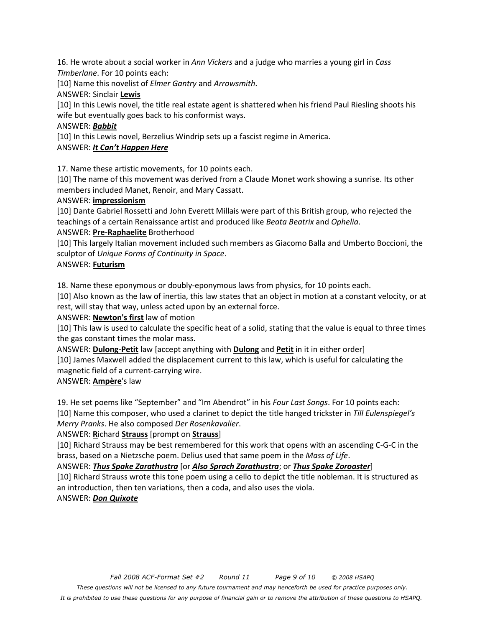16. He wrote about a social worker in *Ann Vickers* and a judge who marries a young girl in *Cass Timberlane*. For 10 points each:

[10] Name this novelist of *Elmer Gantry* and *Arrowsmith*.

#### ANSWER: Sinclair **Lewis**

[10] In this Lewis novel, the title real estate agent is shattered when his friend Paul Riesling shoots his wife but eventually goes back to his conformist ways.

#### ANSWER: *Babbit*

[10] In this Lewis novel, Berzelius Windrip sets up a fascist regime in America.

#### ANSWER: *It Can't Happen Here*

17. Name these artistic movements, for 10 points each.

[10] The name of this movement was derived from a Claude Monet work showing a sunrise. Its other members included Manet, Renoir, and Mary Cassatt.

#### ANSWER: **impressionism**

[10] Dante Gabriel Rossetti and John Everett Millais were part of this British group, who rejected the teachings of a certain Renaissance artist and produced like *Beata Beatrix* and *Ophelia*.

#### ANSWER: **Pre-Raphaelite** Brotherhood

[10] This largely Italian movement included such members as Giacomo Balla and Umberto Boccioni, the sculptor of *Unique Forms of Continuity in Space*.

#### ANSWER: **Futurism**

18. Name these eponymous or doubly-eponymous laws from physics, for 10 points each.

[10] Also known as the law of inertia, this law states that an object in motion at a constant velocity, or at rest, will stay that way, unless acted upon by an external force.

#### ANSWER: **Newton's first** law of motion

[10] This law is used to calculate the specific heat of a solid, stating that the value is equal to three times the gas constant times the molar mass.

ANSWER: **Dulong-Petit** law [accept anything with **Dulong** and **Petit** in it in either order] [10] James Maxwell added the displacement current to this law, which is useful for calculating the

magnetic field of a current-carrying wire.

#### ANSWER: **Ampère**'s law

19. He set poems like "September" and "Im Abendrot" in his *Four Last Songs*. For 10 points each: [10] Name this composer, who used a clarinet to depict the title hanged trickster in *Till Eulenspiegel's* 

*Merry Pranks*. He also composed *Der Rosenkavalier*.

#### ANSWER: **R**ichard **Strauss** [prompt on **Strauss**]

[10] Richard Strauss may be best remembered for this work that opens with an ascending C-G-C in the brass, based on a Nietzsche poem. Delius used that same poem in the *Mass of Life*.

#### ANSWER: *Thus Spake Zarathustra* [or *Also Sprach Zarathustra*; or *Thus Spake Zoroaster*]

[10] Richard Strauss wrote this tone poem using a cello to depict the title nobleman. It is structured as an introduction, then ten variations, then a coda, and also uses the viola. ANSWER: *Don Quixote*

#### *Fall 2008 ACF-Format Set #2 Round 11 Page 9 of 10 © 2008 HSAPQ These questions will not be licensed to any future tournament and may henceforth be used for practice purposes only. It is prohibited to use these questions for any purpose of financial gain or to remove the attribution of these questions to HSAPQ.*